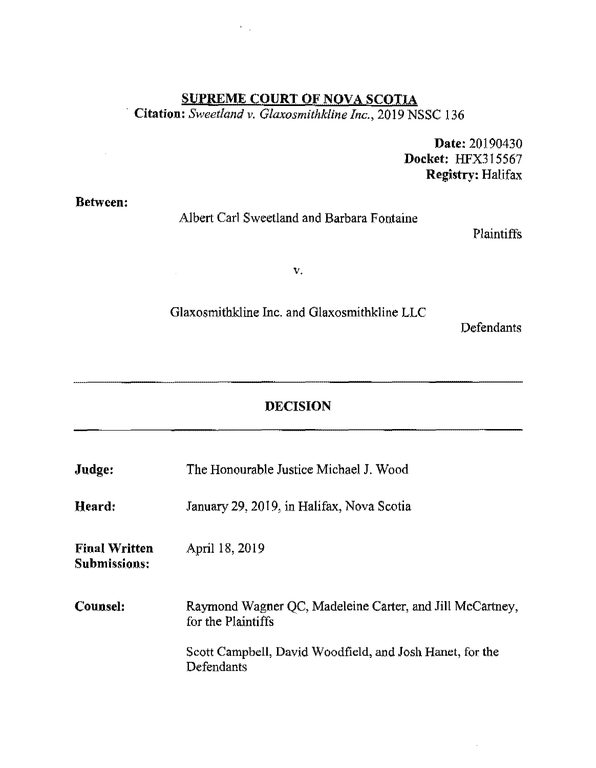# **SUPREME COURT OF NOVA SCOTIA** · **Citation:** *Sweetland v. Glaxosmithkline Inc.,* 2019 NSSC 136

 $\mathcal{F}_{\mathcal{A},\mathcal{A}}$ 

**Date:** 20190430 **Docket:** HFX315567 **Registry:** Halifax

**Between:** 

 $\sim$ 

 $\sim 10^7$ 

#### Albert Carl Sweetland and Barbara Fontaine

Plaintiffs

v.

#### Glaxosmithkline Inc. and Glaxosmithkline LLC

Defendants

 $\hat{\boldsymbol{\theta}}$ 

## **DECISION**

| Judge:                               | The Honourable Justice Michael J. Wood                                         |
|--------------------------------------|--------------------------------------------------------------------------------|
| Heard:                               | January 29, 2019, in Halifax, Nova Scotia                                      |
| <b>Final Written</b><br>Submissions: | April 18, 2019                                                                 |
| Counsel:                             | Raymond Wagner QC, Madeleine Carter, and Jill McCartney,<br>for the Plaintiffs |
|                                      | Scott Campbell, David Woodfield, and Josh Hanet, for the<br>Defendants         |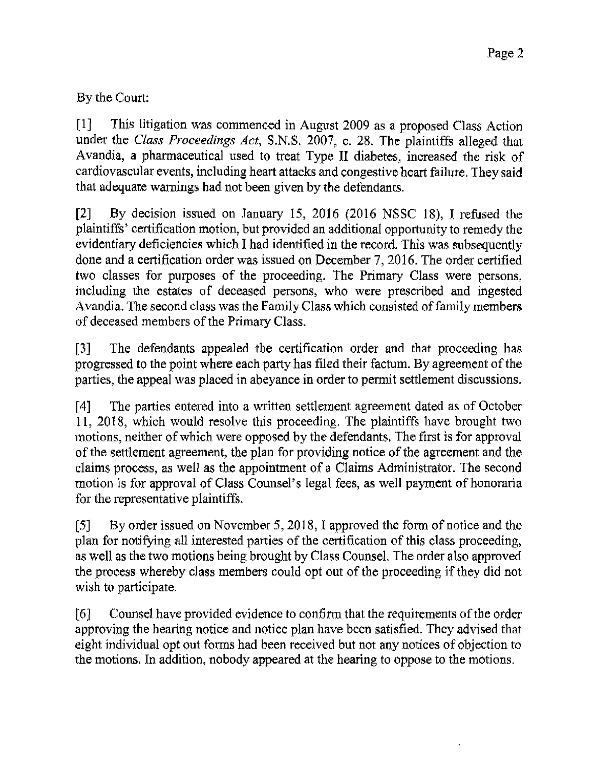By the Court:

[1] This litigation was commenced in August 2009 as a proposed Class Action under the *Class Proceedings Act,* S.N.S. 2007, c. 28. The plaintiffs alleged that Avandia, a pharmaceutical used to treat Type II diabetes, increased the risk of cardiovascular events, including heart attacks and congestive heart failure. They said that adequate warnings had not been given by the defendants.

[2] By decision issued on January 15, 2016 (2016 NSSC 18), I refused the plaintiffs' certification motion, but provided an additional opportunity to remedy the evidentiary deficiencies which I had identified in the record. This was subsequently done and a certification order was issued on December 7, 2016. The order certified two classes for purposes of the proceeding. The Primary Class were persons, including the estates of deceased persons, who were prescribed and ingested Avandia. The second class was the Family Class which consisted of family members of deceased members of the Primary Class.

[3] The defendants appealed the certification order and that proceeding has progressed to the point where each party has filed their factum. By agreement of the parties, the appeal was placed in abeyance in order to pennit settlement discussions.

[4] The parties entered into a written settlement agreement dated as of October 11, 2018, which would resolve this proceeding. The plaintiffa have brought two motions, neither of which were opposed by the defendants. The first is for approval of the settlement agreement, the plan for providing notice of the agreement and the claims process, as well as the appointment of a Claims Administrator. The second motion is for approval of Class Counsel's legal fees, as well payment of honoraria for the representative plaintiffs.

[SJ By order issued on November 5, 2018, I approved the form of notice and the plan for notifying all interested parties of the certification of this class proceeding, as well as the two motions being brought by Class Counsel. The order also approved the process whereby class members could opt out of the proceeding if they did not wish to participate.

[6] Counsel have provided evidence to confirm that the requirements of the order approving the hearing notice and notice plan have been satisfied. They advised that eight individual opt out forms had been received but not any notices of objection to the motions. In addition, nobody appeared at the hearing to oppose to the motions.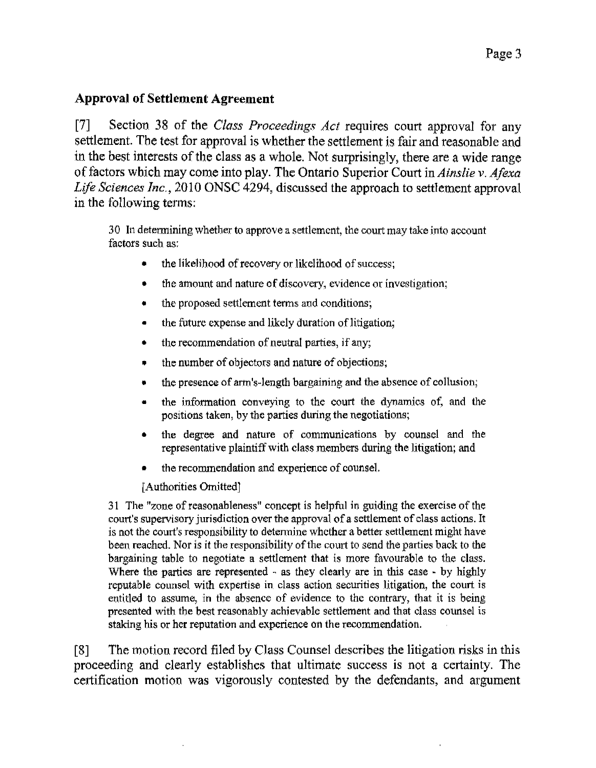#### **Approval of Settlement Agreement**

[7] Section 38 of the *Class Proceedings Act* requires court approval for any settlement. The test for approval is whether the settlement is fair and reasonable and in the best interests of the class as a whole. Not surprisingly, there are a wide range of factors which may come into play. The Ontario Superior Court in *Ainslie v. Afexa Life Sciences Inc.,* 2010 ONSC 4294, discussed the approach to settlement approval in the following terms:

30 In determining whether to approve a settlement, the court may take into account factors such as:

- the likelihood of recovery or likelihood of success;
- the amount and nature of discovery, evidence or investigation;
- the proposed settlement terms and conditions;
- the future expense and likely duration of litigation;
- the recommendation of neutral parties, if any;
- the number of objectors and nature of objections;
- the presence of arm's-length bargaining and the absence of collusion;
- the information conveying to the court the dynamics of, and the positions taken, by the parties during the negotiations;
- the degree and nature of communications by counsel and the representative plaintiff with class members during the litigation; and
- the recommendation and experience of counsel.

[Authorities Omitted)

31 The "zone of reasonableness" concept is helpful in guiding the exercise of the court's supervisory jurisdiction over the approval of a settlement of class actions. It is not the court's responsibility to determine whether a better settlement might have been reached. Nor is it the responsibility of the court to send the parties back to the bargaining table to negotiate a settlement that is more favourable to the class. Where the parties are represented - as they clearly are in this case - by highly reputable counsel with expertise in class action securities litigation, the court is entitled to assume, in the absence of evidence to the contrary, that it is being presented with the best reasonably achievable settlement and that class counsel is staking his or her reputation and experience on the recommendation.

[8] The motion record filed by Class Counsel describes the litigation risks in this proceeding and clearly establishes that ultimate success is not a certainty. The certification motion was vigorously contested by the defendants, and argument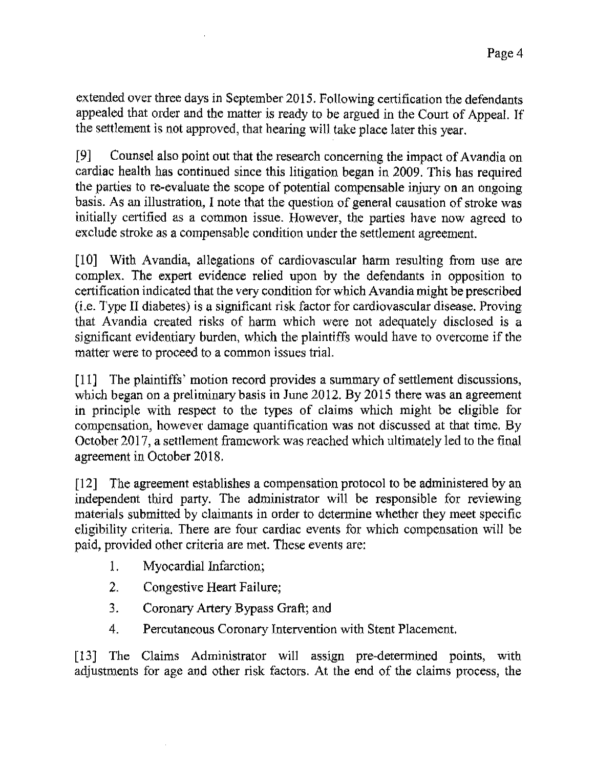extended over three days in September 2015. Following certification the defendants appealed that order and the matter is ready to be argued in the Court of Appeal. If the settlement is not approved, that hearing will take place later this year.

[9] Counsel also point out that the research concerning the impact of Avandia on cardiac health has continued since this litigation began in 2009. This has required the parties to re-evaluate the scope of potential compensable injury on an ongoing basis. As an illustration, I note that the question of general causation of stroke was initially certified as a common issue. However, the parties have now agreed to exclude stroke as a compensable condition under the settlement agreement.

[10] With Avandia, allegations of cardiovascular harm resulting from use are complex. The expert evidence relied upon by the defendants in opposition to certification indicated that the *very* condition for which Avandia might be prescribed  $(i.e.$  Type II diabetes) is a significant risk factor for cardiovascular disease. Proving that Avandia created risks of harm which were not adequately disclosed is a significant evidentiary burden, which the plaintiffs would have *to* overcome if the matter were to proceed to a common issues trial.

[11] The plaintiffs' motion record provides a summary of settlement discussions, which began on a preliminary basis in June 2012. By 2015 there was an agreement in principle with respect to the types of claims which might be eligible for compensation, however damage quantification was not discussed at that time. By October 2017, a settlement framework was reached which ultimately led to the final agreement in October 2018.

[12] The agreement establishes a compensation protocol to be administered by an independent third party. The administrator will be responsible for reviewing materials submitted by claimants in order to determine whether they meet specific eligibility criteria. There are four cardiac events for which compensation will be paid, provided other criteria are met. These events are:

- 1. Myocardial Infarction;
- 2. Congestive Heart Failure;
- 3. Coronary Artery Bypass Graft; and
- 4. Percutaneous Coronary Intervention with Stent Placement.

[13] The Claims Administrator will assign pre-determined points, with adjustments for age and other risk factors. At the end of the claims process, the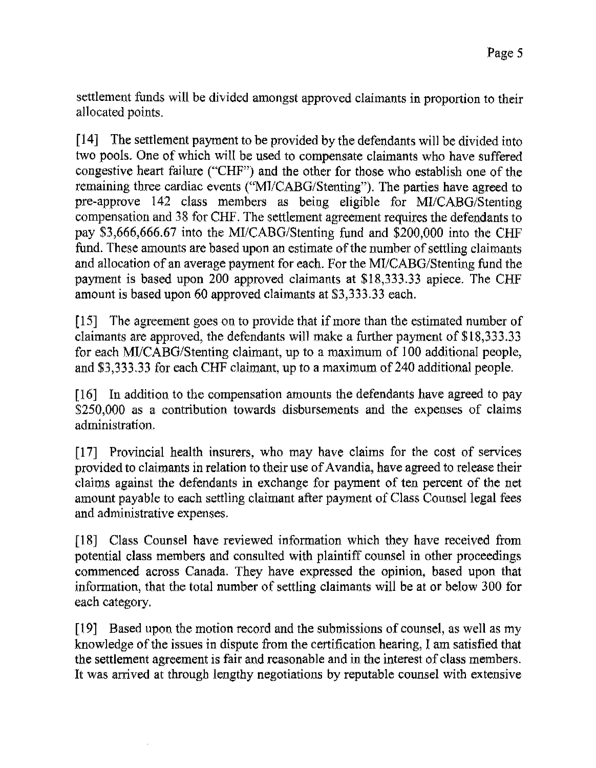settlement funds will be divided amongst approved claimants in proportion to their allocated points.

[14] The settlement payment to be provided by the defendants will be divided into two pools. One of which will be used to compensate claimants who have suffered congestive heart failure ("CHF") and the other for those who establish one of the remaining three cardiac events ("Ml/CABG/Stenting"). The parties have agreed to pre-approve 142 class members as being eligible for MI/CABG/Stenting compensation and 38 for CHF. The settlement agreement requires the defendants to pay \$3,666,666.67 into the MI/CABG/Stenting fund and \$200,000 into the CHF fund. These amounts are based upon an estimate of the number of settling claimants and allocation of an average payment for each. For the MI/CABG/Stenting fund the payment is based upon 200 approved claimants at \$18,333.33 apiece. The CHF amount is based upon 60 approved claimants at \$3,333.33 each.

[15] The agreement goes on to provide that if more than the estimated number of claimants are approved, the defendants will make a further payment of \$18,333.33 for each MI/CABG/Stenting claimant, up to a maximum of I 00 additional people, and \$3,333.33 for each CHF claimant, up to a maximum of240 additional people.

[16] In addition to the compensation amounts the defendants have agreed to pay \$250,000 as a contribution towards disbursements and the expenses of claims administration,

[17] Provincial health insurers, who may have claims for the cost of services provided to claimants in relation to their use of A vandia, have agreed to release their claims against the defendants in exchange for payment of ten percent of the net amount payable to each settling claimant after payment of Class Counsel legal fees and administrative expenses,

[18] Class Counsel have reviewed infonnation which they have received from potential class members and consulted with plaintiff counsel in other proceedings commenced across Canada. They have expressed the opinion, based upon that information, that the total number of settling claimants will be at or below 300 for each category.

[19] Based upon the motion record and the submissions of counsel, as well as my knowledge of the issues in dispute from the certification hearing, I am satisfied that the settlement agreement is fair and reasonable and in the interest of class members. It was arrived at through lengthy negotiations by reputable counsel with extensive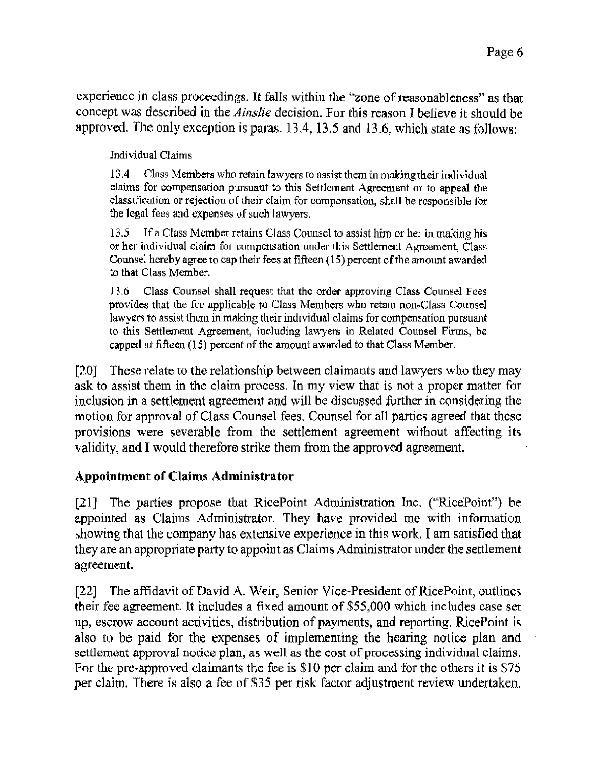experience in class proceedings. It falls within the "zone of reasonableness" as that concept was described in the *Ainslie* decision. For this reason I believe it should be approved. The only exception is paras. 13.4, 13.5 and 13.6, which state as follows:

Individual Claims

13 .4 Class Members who retain lawyers to assist them in making their individual claims for compensation pursuant to this Settlement Agreement or to appeal the classification or rejection of their claim for compensation, shall be responsible for the legal fees and expenses of such lawyers.

13.5 If a Class Member retains Class Counsel to assist him or her in making his or her individual claim for compensation under this Settlement Agreement, Class Counsel hereby agree to cap their fees at fifteen (15) percent of the amount awarded to that Class Member.

13.6 Class Counsel shall request that the order approving Class Counsel Fees provides that the fee applicable to Class Members who retain non-Class Counsel lawyers to assist them in making their individual claims for compensation pursuant to this Settlement Agreement, including lawyers in Related Counsel Firms, be capped al fifteen (15) percent of the amount awarded to that Class Member.

[20] These relate to the relationship between claimants and lawyers who they may ask to assist them in the claim process. In my view that is not a proper matter for inclusion in a settlement agreement and will be discussed further in considering the motion for approval of Class Counsel fees. Counsel for all parties agreed that these provisions were severable from the settlement agreement without affecting its validity, and I would therefore strike them from the approved agreement.

## **Appointment of Claims Administrator**

[21] The parties propose that RicePoint Administration Inc. ("RicePoint") be appointed as Claims Administrator. They have provided me with information showing that the company has extensive experience in this work. I am satisfied that they are an appropriate party to appoint as Claims Administrator under the settlement agreement.

[22] The affidavit of David A. Weir, Senior Vice-President of RicePoint, outlines their fee agreement. It includes a fixed amount of \$55,000 which includes case set up, escrow account activities, distribution of payments, and reporting. RicePoint is also to be paid for the expenses of implementing the hearing notice plan and settlement approval notice plan, as well as the cost of processing individual claims. For the pre-approved claimants the fee is \$10 per claim and for the others it is \$75 per claim. There is also a fee of \$35 per risk factor adjustment review undertaken.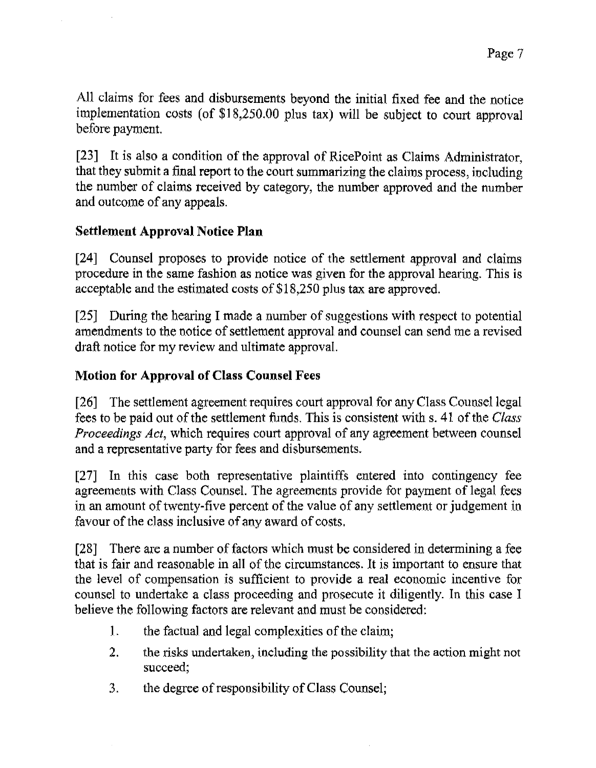All claims for fees and disbursements beyond the initial fixed fee and the notice implementation costs (of  $$18,250.00$  plus tax) will be subject to court approval before payment.

[23] It is also a condition of *the* approval of RicePoint as Claims Administrator, that they submit a final report to the court summarizing the claims process, including the number of claims received by category, the number approved and the number and outcome of any appeals.

## **Settlement Approval Notice Plan**

[24] Counsel proposes to provide notice of the settlement approval and claims procedure in the same fashion as notice was given for the approval hearing. This is acceptable and the estimated costs of \$18,250 plus tax are approved.

[25] During the hearing I made a number of suggestions with respect to potential amendments to the notice of settlement approval and counsel can send me a revised draft notice for my review and ultimate approval.

## **Motion for Approval of Class Counsel Fees**

[26] The settlement agreement requires court approval for any Class Counsel legal fees to be paid out of the settlement funds. This is consistent withs. 41 of the *Class Proceedings Act,* which requires court approval of any agreement between counsel and a representative party for fees and disbursements.

[27] In this case both representative plaintiffs entered into contingency fee agreements with Class Counsel. The agreements provide for payment of legal fees in an amount of twenty-five percent of the value of any settlement or judgement in favour of the class inclusive of any award of costs.

[28] There are a number of factors which must be considered in determining a fee that is fair and reasonable in all of the circumstances. It is important to ensure that the level of compensation is sufficient to provide a real economic incentive for counsel to undertake a class proceeding and prosecute it diligently. In this case I believe the following factors are relevant and must be considered:

- **l.** the factual and legal complexities of the claim;
- 2. the risks undertaken, including the possibility that the action might not succeed;
- 3. the degree of responsibility of Class Counsel;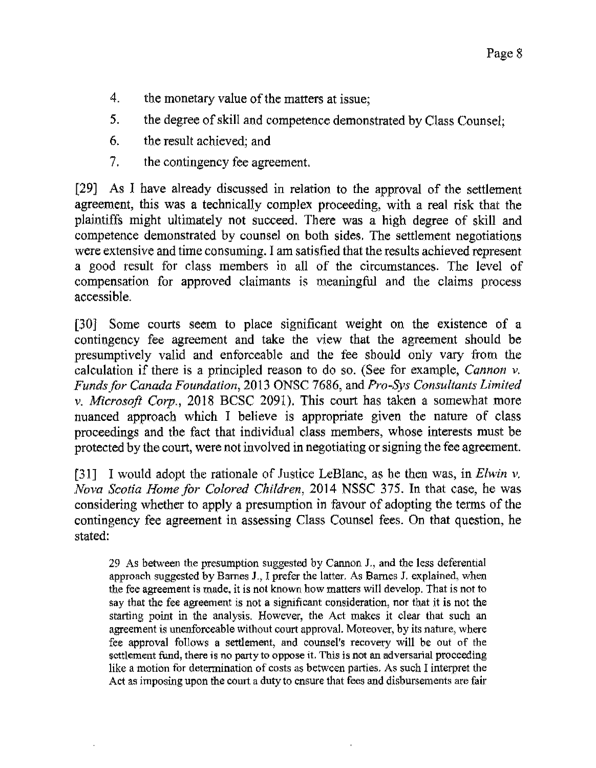- 4. the monetary value of the matters at issue;
- 5. the degree of skill and competence demonstrated by Class Counsel;
- 6. the result achieved; and
- 7. the contingency fee agreement.

[29) As I have already discussed in relation to the approval of the settlement agreement, this was a technically complex proceeding, with a real risk that the plaintiffs might ultimately not succeed. There was a high degree of skill and competence demonstrated by counsel on both sides. The settlement negotiations were extensive and time consuming. I am satisfied that the results achieved represent a good result for class members in all of the circumstances. The level of compensation for approved claimants is meaningful and the claims process accessible.

[30] Some courts seem to place significant weight on the existence of a contingency fee agreement and take the view that the agreement should be presumptively valid and enforceable and the fee should only vaty from the calculation if there is a principled reason to do so. (See for example, *Cannon v. Funds for Canada Foundation,* 2013 ONSC 7686, and *Pro-Sys Consultants Limited v. Microsoft Corp.,* 2018 BCSC 2091). This court has taken a somewhat more nuanced approach which I believe is appropriate given the nature of class proceedings and the fact that individual class members, whose interests must be protected by the court, were not involved in negotiating or signing the fee agreement.

[31] I would adopt the rationale of Justice LeBlanc, as he then was, in *Elwin v. Nova Scotia Home for Colored Children,* 2014 NSSC 375. In that case, he was considering whether to apply a presumption in favour of adopting the tenns of the contingency fee agreement in assessing Class Counsel fees. On that question, he stated:

29 As between the presumption suggested by Cannon J., and the less deferential approach suggested by Barnes J,, I prefer the latter. As Barnes J. explained, when the fee agreement is made, it is not known how matters will develop. That is not to say that the fee agreement is not a significant consideration, nor that it is not the starting point in the analysis. However, the Act makes it clear that such an agreement is unenforceable without court approval. Moreover, by its nature, where fee approval follows a settlement, and counsel's recovery will be out of the settlement fund, there is no party to oppose it. This is not an adversarial proceeding like a motion for determination of costs as between parties. As such I interpret the Act as imposing upon the court a duty to ensure that fees and disbursements are fair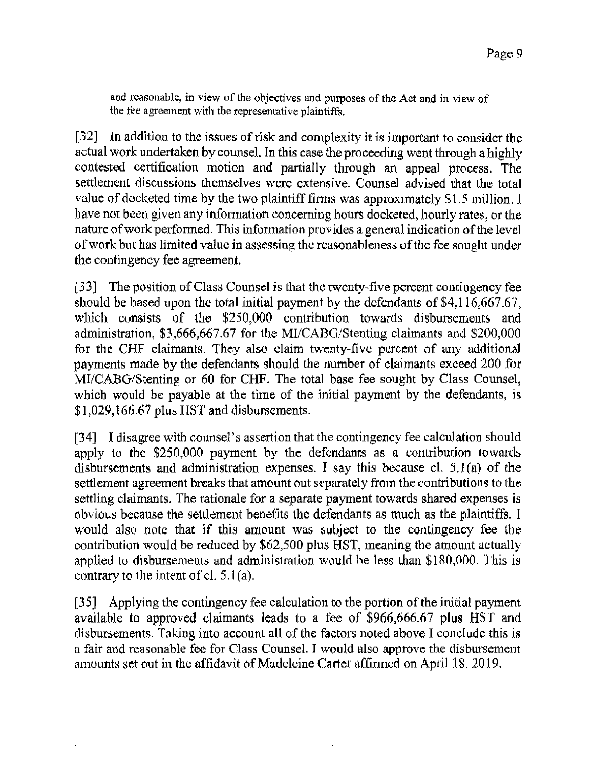and reasonable, in view of the objectives and purposes of the Act and in view of the fee agreement with the representative plaintiffs.

[32] In addition to the issues of risk and complexity it is important to consider *the*  actual work undertaken by counsel. In this case the proceeding went through a highly contested certification motion and partially through an appeal process. The settlement discussions themselves were extensive. Counsel advised that the total value of docketed time by the two plaintiff firms was approximately \$1.5 million. I have not been given any information concerning hours docketed, hourly rates, or the nature of work performed. This information provides a general indication of the level of work but has limited value in assessing the reasonableness of the fee sought under the contingency fee agreement.

[33] The position of Class Counsel is that the twenty-five percent contingency fee should be based upon the total initial payment by the defendants of \$4,116,667.67, which consists of the \$250,000 contribution towards disbursements and administration, \$3,666,667.67 for the MI/CABG/Stenting claimants and \$200,000 for the CHF claimants. They also claim twenty-five percent of any additional payments made by the defendants should the number of claimants exceed 200 for MI/CABG/Stenting or 60 for CHF. The total base fee sought by Class Counsel, which would be payable at the time of the initial payment by the defendants, is \$1,029,166.67 plus HST and disbursements.

[34] I disagree with counsel's assertion that the contingency fee calculation should apply to the \$250,000 payment by the defendants as a contribution towards disbursements and administration expenses. I say this because cl.  $5.1(a)$  of the settlement agreement breaks that amount out separately from the contributions to the settling claimants. The rationale for a separate payment towards shared expenses is obvious because the settlement benefits the defendants as much as the plaintiffs. I would also note that if this amount was subject to the contingency fee the contribution would be reduced by \$62,500 plus HST, meaning the amount actually applied to disbursements and administration would be less than \$180,000. This is contrary to the intent of cl.  $5.1(a)$ .

[35] Applying the contingency fee calculation to the portion of the initial payment available to approved claimants leads to a fee of \$966,666.67 plus HST and disbursements. Taking into account all of the factors noted above I conclude this is a fair and reasonable fee for Class Counsel. I would also approve the disbursement amounts set out in the affidavit of Madeleine Carter affirmed on April 18, 2019.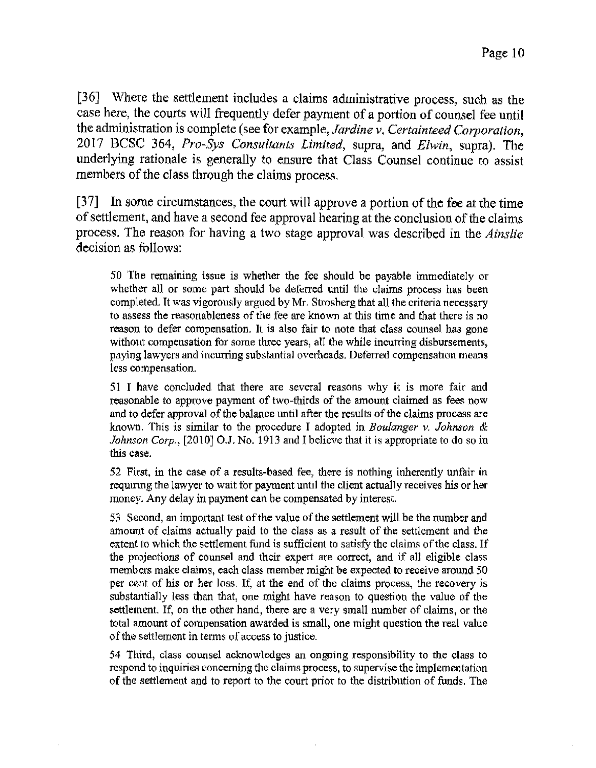[36] Where the settlement includes a claims administrative process, such as the case here, the courts will frequently defer payment of a portion of counsel fee until the administration is complete (see for example, *Jardine v. Certainteed Corporation,*  2017 BCSC 364, *Pro-Sys Consultants limited,* supra, and *Elwin,* supra). The underlying rationale is generally to ensure that Class Counsel continue to assist members of the class through the claims process.

[37] In some circumstances, the court will approve a portion of the fee at the time of settlement, and have a second fee approval hearing at the conclusion of the claims process. The reason for having a two stage approval was described in the *Ainslie*  decision as follows:

50 The remaining issue is whether the fee should be payable immediately or whether all or some part should be deferred until the claims process has been completed. It was vigorously argued by Mr. Strosberg that all the criteria necessary to assess the reasonableness of the fee are known at this time and that there is no reason to defer compensation. It is also fair to note that class counsel has gone without compensation for some three years, all the while incurring disbursements, paying lawyers and incurring substantial overheads. Deferred compensation means less compensation.

51 I have concluded that there are several reasons why it is more fair and reasonable lo approve payment of two-thirds of the amount claimed as fees now and to defer approval of the balance until after the results of the claims process are known. This is similar to the procedure I adopted in *Boulanger v. Johnson & Johnson Corp.*, [2010] O.J. No. 1913 and I believe that it is appropriate to do so in this case.

52 First, in the case of a results-based fee, there is nothing inherently unfair in requiring the lawyer to wait for payment until the client actually receives his or her money. Any delay in payment can be compensated by interest.

53 Second, an important test of the value of the settlement will be the number and amount of claims actually paid to the class as a result of the settlement and the extent to which the settlement fund is sufficient to satisfy the claims of the class. If the projections of counsel and their expert are correct, and if all eligible class members make claims, each class member might be expected to receive around 50 per cent of his or her loss. If, at the end of the claims process, the recovery is substantially less than that, one might have reason to question the value of the settlement. If, on the other hand, there are a very small number of claims, or the total amount of compensation awarded is small, one might question the real value of the settlement in terms of access to justice.

54 Third, class counsel acknowledges an ongoing responsibility to the class to respond to inquiries concerning the claims process, to supervise the implementation of the settlement and to report to the court prior to the distribution of funds. The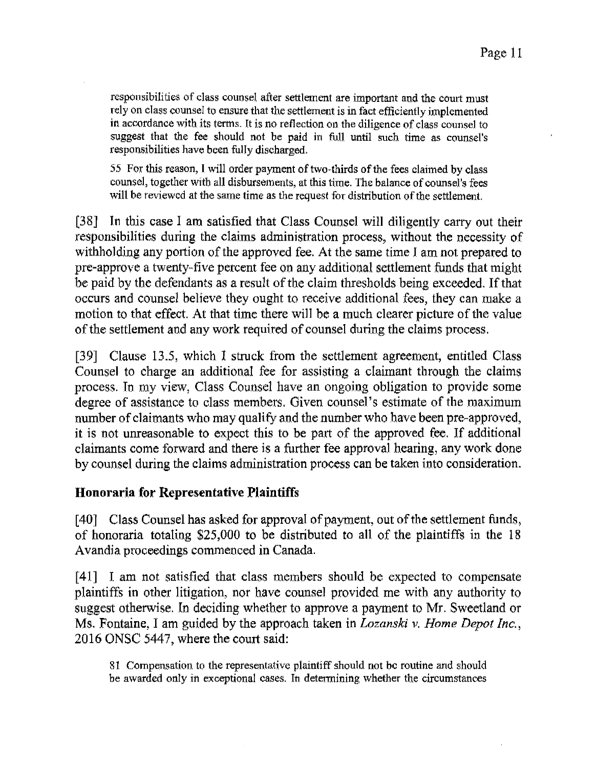responsibilities of class eounsel after settlement are important and the eourt must rely on class eounsel to ensure that the settlement is in fact efficiently implemented in accordance with its terms. lt is no reflection on the diligence of class counsel to suggest that the fee should not be paid in full until such time as counsel's responsibilities have been fully discharged.

55 For this reason, I will order payment of two-thirds of the fees claimed by class counsel, together with all disbursements, at this time. The balance of counsel's fees will be reviewed at the same time as the request for distribution of the settlement.

(38] In this case I am satisfied that Class Counsel will diligently carry out their responsibilities during the claims administration process, without the necessity of withholding any portion of the approved fee. At the same time I am not prepared to pre-approve a twenty-five percent fee on any additional settlement funds that might be paid by the defendants as a result of the claim thresholds being exceeded. If that occurs and counsel believe they ought to receive additional fees, they can make a motion to that effect. At that time there will be a much clearer picture of the value of the settlement and any work required of counsel during the claims process.

[39] Clause 13.5, which I struck from the settlement agreement, entitled Class Counsel to charge an additional fee for assisting a claimant through the claims process. In my view, Class Counsel have an ongoing obligation to provide some degree of assistance to class members. Given counsel's estimate of the maximum number of claimants who may qualify and the number who have been pre-approved, it is not unreasonable to expect this to be part of the approved fee. If additional claimants come forward and there is a further fee approval hearing, any work done by counsel during the claims administration process can be taken into consideration.

#### **Honoraria for Representative Plaintiffs**

[40] Class Counsel has asked for approval of payment, out of the settlement funds, of honoraria totaling \$25,000 to be distributed to all of the plaintiffs in the 18 Avandia proceedings commenced in Canada.

[41] I am not satisfied that class members should be expected to compensate plaintiffs in other litigation, nor have counsel provided me with any authority to suggest otherwise. In deciding whether to approve a payment to Mr. Sweetland or Ms. Fontaine, I am guided by the approach taken in *Lozanski v. Home Depot Inc.*, 2016 ONSC 5447, where the court said:

81 Compensation to the representative plaintiff should not be routine and should he awarded only in exceptional cases. In determining whether the circumstances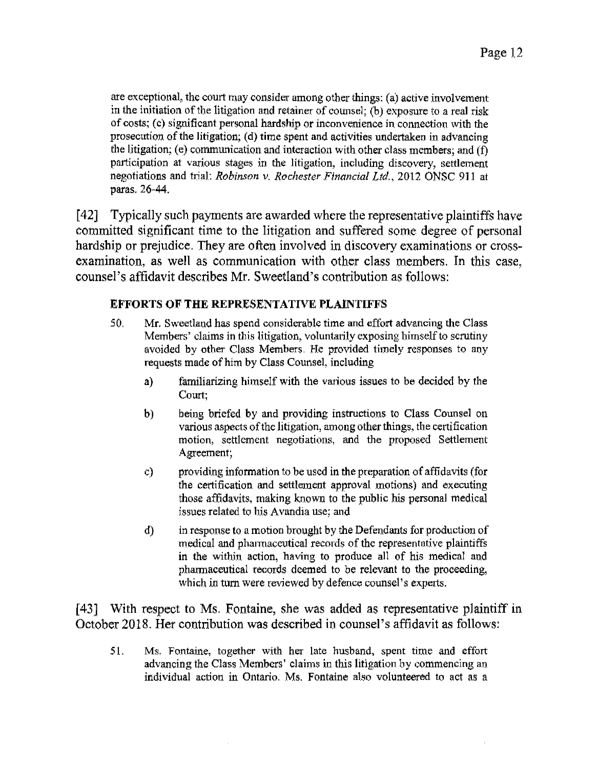are exceptional, the court may consider among other things: (a) active involvement in the initiation of the litigation and retainer of counsel; (b) exposure to a real risk of costs; (c) significant personal hardship or inconvenience in connection with the prosecution of the litigation; (d) time spent and activities undertaken in advancing the litigation; (e) communication and interaction with other class members; and  $(f)$ participation at various stages in the litigation, including discovery, settlement negotiations and trial: *Robinson v. Rochester Financial Ltd.,* 2012 ONSC 911 at paras. 26-44.

[ 42] Typically such payments are awarded where the representative plaintiffs have committed significant time to the litigation and suffered some degree of personal hardship or prejudice. They are often involved in discovery examinations or crossexamination, as well as communication with other class members. In this case, counsel's affidavit describes Mr. Sweetland's contribution as follows:

#### **EFFORTS OF THE REPRESENTATIVE PLAINTIFFS**

- 50. Mr. Sweetland has spend considerable time and effort advancing the Class Members' claims in this litigation, voluntarily exposing himself to scrutiny avoided by other Class Members. He provided timely responses to any requests made of him by Class Counsel, including
	- a) familiarizing himself with the various issues to be decided by the Court;
	- b) being briefed by and providing instructions to Class Counsel on various aspects of the litigation, among other things, the certification motion, settlement negotiations, and the proposed Settlement Agreement;
	- c) providing information to be used in the preparation of affidavits (for the certification and settlement approval motions) and executing those affidavits, making known to the public his personal medical issues related to his Avandia use; and
	- d) in response to a motion brought by the Defendants for production of medical and phannaceutical records of the representative plaintiffs in the within action, having to produce all of his medical and pharmaceutical records deemed to be relevant to the proceeding, which in tum were reviewed by defence counsel's experts.

[43] With respect to Ms. Fontaine, she was added as representative plaintiff in October 2018. Her contribution was described in counsel's affidavit as follows:

51. Ms. Fontaine, together with her late husband, spent time and effort advancing the Class Members' claims in this litigation by commencing an individual action in Ontario. Ms. Fontaine also volunteered to act as a